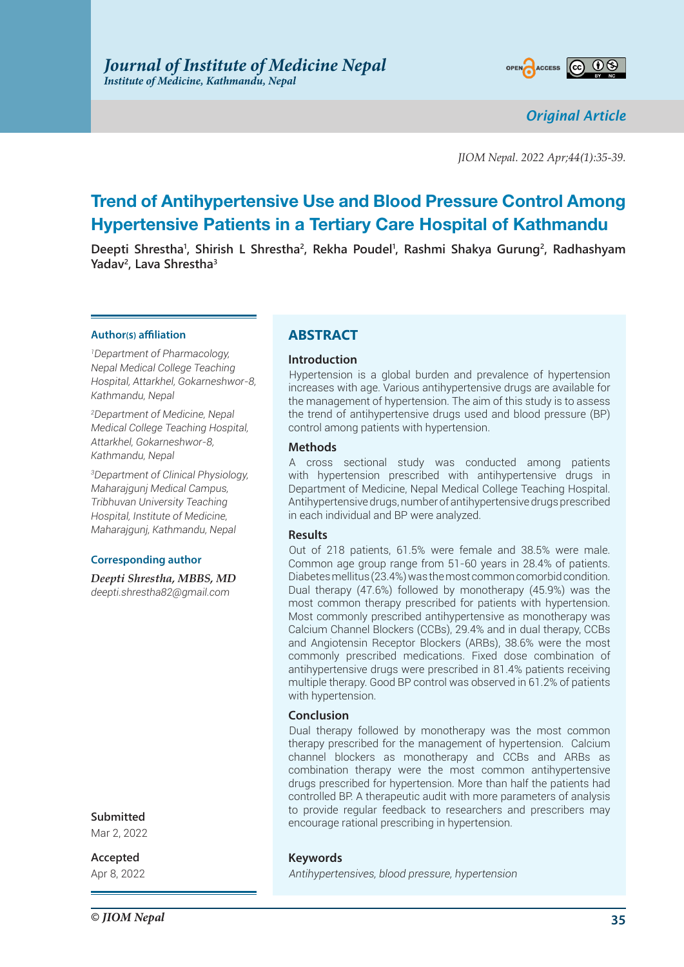

*Original Article*

*JIOM Nepal. 2022 Apr;44(1):35-39.*

# **Trend of Antihypertensive Use and Blood Pressure Control Among Hypertensive Patients in a Tertiary Care Hospital of Kathmandu**

Deepti Shrestha<sup>1</sup>, Shirish L Shrestha<sup>2</sup>, Rekha Poudel<sup>1</sup>, Rashmi Shakya Gurung<sup>2</sup>, Radhashyam **Yadav2 , Lava Shrestha3**

### **Author(s) affiliation**

*1 Department of Pharmacology, Nepal Medical College Teaching Hospital, Attarkhel, Gokarneshwor-8, Kathmandu, Nepal* 

*2 Department of Medicine, Nepal Medical College Teaching Hospital, Attarkhel, Gokarneshwor-8, Kathmandu, Nepal* 

*3 Department of Clinical Physiology, Maharajgunj Medical Campus, Tribhuvan University Teaching Hospital, Institute of Medicine, Maharajgunj, Kathmandu, Nepal*

### **Corresponding author**

*Deepti Shrestha, MBBS, MD deepti.shrestha82@gmail.com*

### **Submitted**

Mar 2, 2022

**Accepted**

Apr 8, 2022

# **ABSTRACT**

### **Introduction**

Hypertension is a global burden and prevalence of hypertension increases with age. Various antihypertensive drugs are available for the management of hypertension. The aim of this study is to assess the trend of antihypertensive drugs used and blood pressure (BP) control among patients with hypertension.

### **Methods**

A cross sectional study was conducted among patients with hypertension prescribed with antihypertensive drugs in Department of Medicine, Nepal Medical College Teaching Hospital. Antihypertensive drugs, number of antihypertensive drugs prescribed in each individual and BP were analyzed.

### **Results**

Out of 218 patients, 61.5% were female and 38.5% were male. Common age group range from 51-60 years in 28.4% of patients. Diabetes mellitus (23.4%) was the most common comorbid condition. Dual therapy (47.6%) followed by monotherapy (45.9%) was the most common therapy prescribed for patients with hypertension. Most commonly prescribed antihypertensive as monotherapy was Calcium Channel Blockers (CCBs), 29.4% and in dual therapy, CCBs and Angiotensin Receptor Blockers (ARBs), 38.6% were the most commonly prescribed medications. Fixed dose combination of antihypertensive drugs were prescribed in 81.4% patients receiving multiple therapy. Good BP control was observed in 61.2% of patients with hypertension.

### **Conclusion**

Dual therapy followed by monotherapy was the most common therapy prescribed for the management of hypertension. Calcium channel blockers as monotherapy and CCBs and ARBs as combination therapy were the most common antihypertensive drugs prescribed for hypertension. More than half the patients had controlled BP. A therapeutic audit with more parameters of analysis to provide regular feedback to researchers and prescribers may encourage rational prescribing in hypertension.

### **Keywords**

*Antihypertensives, blood pressure, hypertension*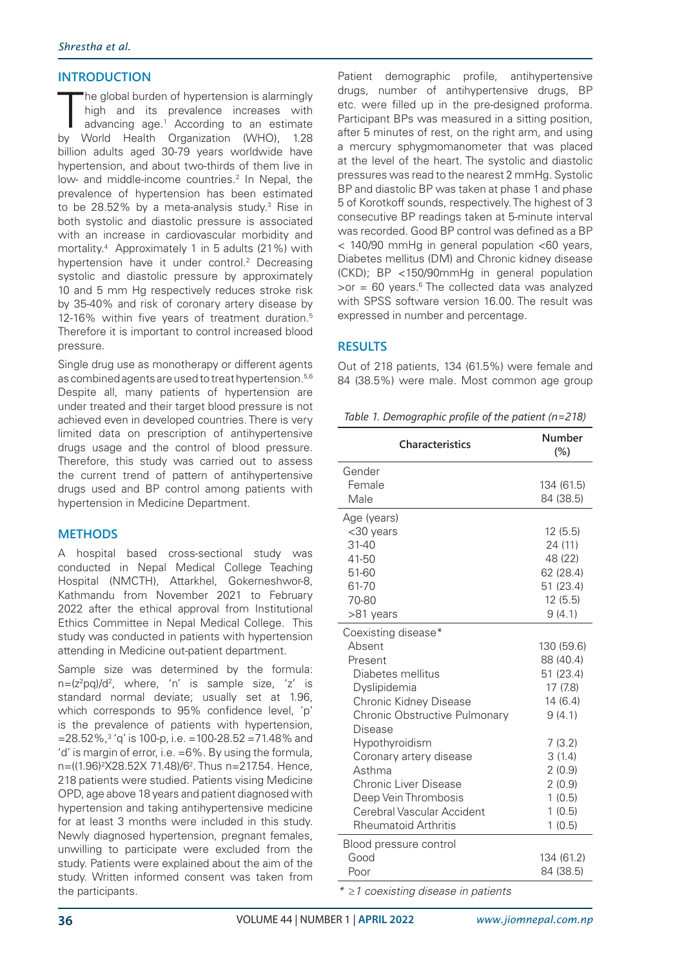# **INTRODUCTION**

The global burden of hypertension is alarmingly<br>high and its prevalence increases with<br>advancing age.<sup>1</sup> According to an estimate<br>by World Health Organization (WHO), 1.28 he global burden of hypertension is alarmingly high and its prevalence increases with advancing age.1 According to an estimate billion adults aged 30-79 years worldwide have hypertension, and about two-thirds of them live in low- and middle-income countries.<sup>2</sup> In Nepal, the prevalence of hypertension has been estimated to be 28.52% by a meta-analysis study.3 Rise in both systolic and diastolic pressure is associated with an increase in cardiovascular morbidity and mortality.4 Approximately 1 in 5 adults (21%) with hypertension have it under control.<sup>2</sup> Decreasing systolic and diastolic pressure by approximately 10 and 5 mm Hg respectively reduces stroke risk by 35-40% and risk of coronary artery disease by 12-16% within five years of treatment duration.5 Therefore it is important to control increased blood pressure.

Single drug use as monotherapy or different agents as combined agents are used to treat hypertension.<sup>5,6</sup> Despite all, many patients of hypertension are under treated and their target blood pressure is not achieved even in developed countries. There is very limited data on prescription of antihypertensive drugs usage and the control of blood pressure. Therefore, this study was carried out to assess the current trend of pattern of antihypertensive drugs used and BP control among patients with hypertension in Medicine Department.

## **METHODS**

A hospital based cross-sectional study was conducted in Nepal Medical College Teaching Hospital (NMCTH), Attarkhel, Gokerneshwor-8, Kathmandu from November 2021 to February 2022 after the ethical approval from Institutional Ethics Committee in Nepal Medical College. This study was conducted in patients with hypertension attending in Medicine out-patient department.

Sample size was determined by the formula: n=(z<sup>2</sup>pq)/d<sup>2</sup>, where, 'n' is sample size, 'z' is standard normal deviate; usually set at 1.96, which corresponds to 95% confidence level, 'p' is the prevalence of patients with hypertension, =28.52%,3 'q' is 100-p, i.e. =100-28.52 =71.48% and 'd' is margin of error, i.e. =6%. By using the formula, n=((1.96)2 X28.52X 71.48)/62 . Thus n=217.54. Hence, 218 patients were studied. Patients vising Medicine OPD, age above 18 years and patient diagnosed with hypertension and taking antihypertensive medicine for at least 3 months were included in this study. Newly diagnosed hypertension, pregnant females, unwilling to participate were excluded from the study. Patients were explained about the aim of the study. Written informed consent was taken from the participants.

Patient demographic profile, antihypertensive drugs, number of antihypertensive drugs, BP etc. were filled up in the pre-designed proforma. Participant BPs was measured in a sitting position, after 5 minutes of rest, on the right arm, and using a mercury sphygmomanometer that was placed at the level of the heart. The systolic and diastolic pressures was read to the nearest 2 mmHg. Systolic BP and diastolic BP was taken at phase 1 and phase 5 of Korotkoff sounds, respectively. The highest of 3 consecutive BP readings taken at 5-minute interval was recorded. Good BP control was defined as a BP < 140/90 mmHg in general population <60 years, Diabetes mellitus (DM) and Chronic kidney disease (CKD); BP <150/90mmHg in general population  $\gamma$ or = 60 years.<sup>6</sup> The collected data was analyzed with SPSS software version 16.00. The result was expressed in number and percentage.

## **RESULTS**

Out of 218 patients, 134 (61.5%) were female and 84 (38.5%) were male. Most common age group

*Table 1. Demographic profile of the patient (n=218)*

| <b>Characteristics</b>                   | Number<br>$(\%)$ |
|------------------------------------------|------------------|
| Gender                                   |                  |
| Female                                   | 134 (61.5)       |
| Male                                     | 84 (38.5)        |
| Age (years)                              |                  |
| <30 years                                | 12(5.5)          |
| $31 - 40$                                | 24 (11)          |
| 41-50                                    | 48 (22)          |
| 51-60                                    | 62 (28.4)        |
| 61-70                                    | 51 (23.4)        |
| 70-80                                    | 12(5.5)          |
| >81 years                                | 9(4.1)           |
| Coexisting disease*                      |                  |
| Ahsent                                   | 130 (59.6)       |
| Present                                  | 88 (40.4)        |
| Diabetes mellitus                        | 51 (23.4)        |
| Dyslipidemia                             | 17 (7.8)         |
| Chronic Kidney Disease                   | 14(6.4)          |
| Chronic Obstructive Pulmonary<br>Disease | 9(4.1)           |
| Hypothyroidism                           | 7(3.2)           |
| Coronary artery disease                  | 3(1.4)           |
| Asthma                                   | 2(0.9)           |
| Chronic Liver Disease                    | 2(0.9)           |
| Deep Vein Thrombosis                     | 1(0.5)           |
| Cerebral Vascular Accident               | 1(0.5)           |
| <b>Rheumatoid Arthritis</b>              | 1(0.5)           |
| Blood pressure control                   |                  |
| Good                                     | 134 (61.2)       |
| Poor                                     | 84 (38.5)        |

*\* ≥1 coexisting disease in patients*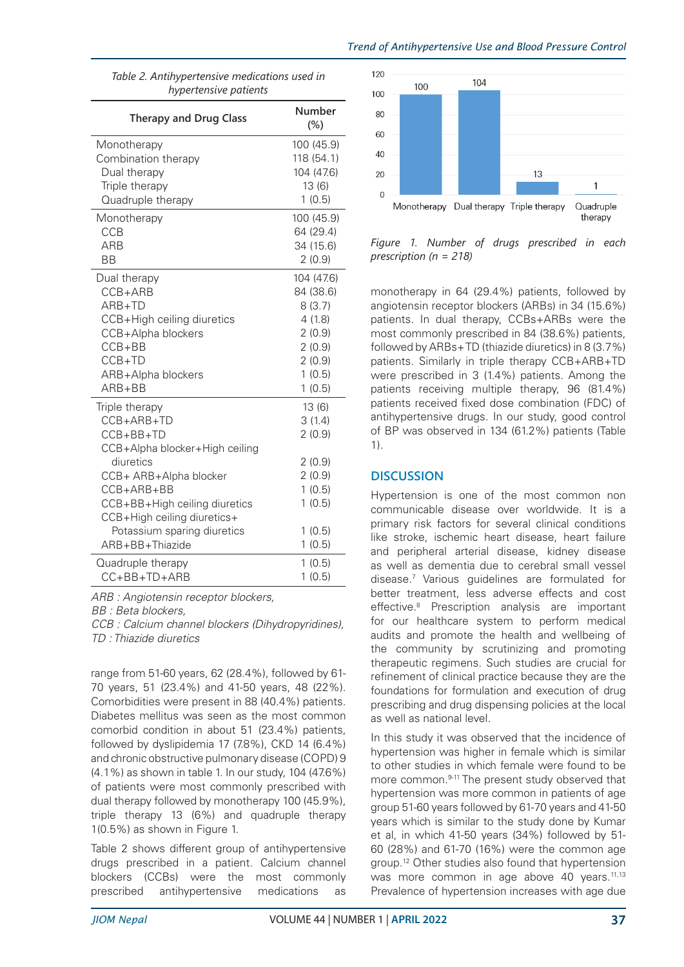| Table 2. Antihypertensive medications used in<br>hypertensive patients |                  |
|------------------------------------------------------------------------|------------------|
| <b>Therapy and Drug Class</b>                                          | Number<br>$(\%)$ |
| Monotherapy                                                            | 100 (45.9)       |
| Combination therapy                                                    | 118 (54.1)       |
| Dual therapy                                                           | 104 (47.6)       |
| Triple therapy                                                         | 13(6)            |
| Quadruple therapy                                                      | 1(0.5)           |
| Monotherapy                                                            | 100 (45.9)       |
| <b>CCB</b>                                                             | 64 (29.4)        |
| <b>ARB</b>                                                             | 34 (15.6)        |
| <b>BB</b>                                                              | 2(0.9)           |
| Dual therapy                                                           | 104 (47.6)       |
| CCB+ARB                                                                | 84 (38.6)        |
| ARB+TD                                                                 | 8(3.7)           |
| CCB+High ceiling diuretics                                             | 4(1.8)           |
| CCB+Alpha blockers                                                     | 2(0.9)           |
| $CCB + BB$                                                             | 2(0.9)           |
| CCB+TD                                                                 | 2(0.9)           |
| ARB+Alpha blockers                                                     | 1(0.5)           |
| $ARB + BB$                                                             | 1(0.5)           |
| Triple therapy                                                         | 13(6)            |
| $CCB+ARB+TD$                                                           | 3(1.4)           |
| CCB+BB+TD                                                              | 2(0.9)           |
| CCB+Alpha blocker+High ceiling<br>diuretics                            | 2(0.9)           |
| CCB+ ARB+Alpha blocker                                                 | 2(0.9)           |
| CCB+ARB+BB                                                             | 1(0.5)           |
| CCB+BB+High ceiling diuretics                                          | 1(0.5)           |
| CCB+High ceiling diuretics+                                            |                  |
| Potassium sparing diuretics                                            | 1(0.5)           |
| ARB+BB+Thiazide                                                        | 1(0.5)           |
| Quadruple therapy                                                      | 1(0.5)           |
| CC+BB+TD+ARB                                                           | 1(0.5)           |

*Table 2. Antihypertensive medications used in* 

*ARB : Angiotensin receptor blockers, BB : Beta blockers, CCB : Calcium channel blockers (Dihydropyridines), TD : Thiazide diuretics*

range from 51-60 years, 62 (28.4%), followed by 61- 70 years, 51 (23.4%) and 41-50 years, 48 (22%). Comorbidities were present in 88 (40.4%) patients. Diabetes mellitus was seen as the most common comorbid condition in about 51 (23.4%) patients, followed by dyslipidemia 17 (7.8%), CKD 14 (6.4%) and chronic obstructive pulmonary disease (COPD) 9 (4.1%) as shown in table 1. In our study, 104 (47.6%) of patients were most commonly prescribed with dual therapy followed by monotherapy 100 (45.9%), triple therapy 13 (6%) and quadruple therapy 1(0.5%) as shown in Figure 1.

Table 2 shows different group of antihypertensive drugs prescribed in a patient. Calcium channel blockers (CCBs) were the most commonly prescribed antihypertensive medications as



*Figure 1. Number of drugs prescribed in each prescription (n = 218)*

monotherapy in 64 (29.4%) patients, followed by angiotensin receptor blockers (ARBs) in 34 (15.6%) patients. In dual therapy, CCBs+ARBs were the most commonly prescribed in 84 (38.6%) patients, followed by ARBs+ TD (thiazide diuretics) in 8 (3.7%) patients. Similarly in triple therapy CCB+ARB+TD were prescribed in 3 (1.4%) patients. Among the patients receiving multiple therapy, 96 (81.4%) patients received fixed dose combination (FDC) of antihypertensive drugs. In our study, good control of BP was observed in 134 (61.2%) patients (Table 1).

# **DISCUSSION**

Hypertension is one of the most common non communicable disease over worldwide. It is a primary risk factors for several clinical conditions like stroke, ischemic heart disease, heart failure and peripheral arterial disease, kidney disease as well as dementia due to cerebral small vessel disease.7 Various guidelines are formulated for better treatment, less adverse effects and cost effective.8 Prescription analysis are important for our healthcare system to perform medical audits and promote the health and wellbeing of the community by scrutinizing and promoting therapeutic regimens. Such studies are crucial for refinement of clinical practice because they are the foundations for formulation and execution of drug prescribing and drug dispensing policies at the local as well as national level.

In this study it was observed that the incidence of hypertension was higher in female which is similar to other studies in which female were found to be more common.<sup>9-11</sup> The present study observed that hypertension was more common in patients of age group 51-60 years followed by 61-70 years and 41-50 years which is similar to the study done by Kumar et al, in which 41-50 years (34%) followed by 51- 60 (28%) and 61-70 (16%) were the common age group.12 Other studies also found that hypertension was more common in age above 40 years.<sup>11,13</sup> Prevalence of hypertension increases with age due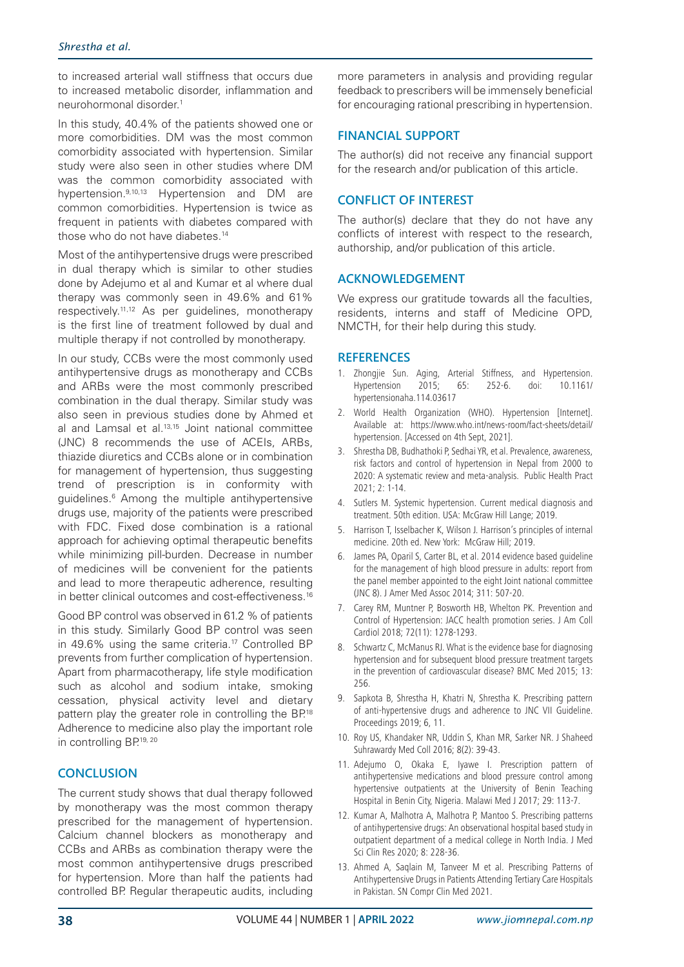to increased arterial wall stiffness that occurs due to increased metabolic disorder, inflammation and neurohormonal disorder.1

In this study, 40.4% of the patients showed one or more comorbidities. DM was the most common comorbidity associated with hypertension. Similar study were also seen in other studies where DM was the common comorbidity associated with hypertension.<sup>9,10,13</sup> Hypertension and DM are common comorbidities. Hypertension is twice as frequent in patients with diabetes compared with those who do not have diabetes.<sup>14</sup>

Most of the antihypertensive drugs were prescribed in dual therapy which is similar to other studies done by Adejumo et al and Kumar et al where dual therapy was commonly seen in 49.6% and 61% respectively.11,12 As per guidelines, monotherapy is the first line of treatment followed by dual and multiple therapy if not controlled by monotherapy.

In our study, CCBs were the most commonly used antihypertensive drugs as monotherapy and CCBs and ARBs were the most commonly prescribed combination in the dual therapy. Similar study was also seen in previous studies done by Ahmed et al and Lamsal et al.<sup>13,15</sup> Joint national committee (JNC) 8 recommends the use of ACEIs, ARBs, thiazide diuretics and CCBs alone or in combination for management of hypertension, thus suggesting trend of prescription is in conformity with guidelines.6 Among the multiple antihypertensive drugs use, majority of the patients were prescribed with FDC. Fixed dose combination is a rational approach for achieving optimal therapeutic benefits while minimizing pill-burden. Decrease in number of medicines will be convenient for the patients and lead to more therapeutic adherence, resulting in better clinical outcomes and cost-effectiveness.<sup>16</sup>

Good BP control was observed in 61.2 % of patients in this study. Similarly Good BP control was seen in 49.6% using the same criteria.<sup>17</sup> Controlled BP prevents from further complication of hypertension. Apart from pharmacotherapy, life style modification such as alcohol and sodium intake, smoking cessation, physical activity level and dietary pattern play the greater role in controlling the BP.<sup>18</sup> Adherence to medicine also play the important role in controlling BP.19, 20

### **CONCLUSION**

The current study shows that dual therapy followed by monotherapy was the most common therapy prescribed for the management of hypertension. Calcium channel blockers as monotherapy and CCBs and ARBs as combination therapy were the most common antihypertensive drugs prescribed for hypertension. More than half the patients had controlled BP. Regular therapeutic audits, including more parameters in analysis and providing regular feedback to prescribers will be immensely beneficial for encouraging rational prescribing in hypertension.

### **FINANCIAL SUPPORT**

The author(s) did not receive any financial support for the research and/or publication of this article.

### **CONFLICT OF INTEREST**

The author(s) declare that they do not have any conflicts of interest with respect to the research, authorship, and/or publication of this article.

### **ACKNOWLEDGEMENT**

We express our gratitude towards all the faculties. residents, interns and staff of Medicine OPD, NMCTH, for their help during this study.

### **REFERENCES**

- 1. Zhongjie Sun. Aging, Arterial Stiffness, and Hypertension. Hypertension 2015; 65: 252-6. doi: 10.1161/ hypertensionaha.114.03617
- 2. World Health Organization (WHO). Hypertension [Internet]. Available at: https://www.who.int/news-room/fact-sheets/detail/ hypertension. [Accessed on 4th Sept, 2021].
- 3. Shrestha DB, Budhathoki P, Sedhai YR, et al. Prevalence, awareness, risk factors and control of hypertension in Nepal from 2000 to 2020: A systematic review and meta-analysis. Public Health Pract 2021; 2: 1-14.
- 4. Sutlers M. Systemic hypertension. Current medical diagnosis and treatment. 50th edition. USA: McGraw Hill Lange; 2019.
- 5. Harrison T, Isselbacher K, Wilson J. Harrison's principles of internal medicine. 20th ed. New York: McGraw Hill; 2019.
- 6. James PA, Oparil S, Carter BL, et al. 2014 evidence based guideline for the management of high blood pressure in adults: report from the panel member appointed to the eight Joint national committee (JNC 8). J Amer Med Assoc 2014; 311: 507-20.
- 7. Carey RM, Muntner P, Bosworth HB, Whelton PK. Prevention and Control of Hypertension: JACC health promotion series. J Am Coll Cardiol 2018; 72(11): 1278-1293.
- 8. Schwartz C, McManus RJ. What is the evidence base for diagnosing hypertension and for subsequent blood pressure treatment targets in the prevention of cardiovascular disease? BMC Med 2015; 13: 256.
- 9. Sapkota B, Shrestha H, Khatri N, Shrestha K. Prescribing pattern of anti-hypertensive drugs and adherence to JNC VII Guideline. Proceedings 2019; 6, 11.
- 10. Roy US, Khandaker NR, Uddin S, Khan MR, Sarker NR. J Shaheed Suhrawardy Med Coll 2016; 8(2): 39-43.
- 11. Adejumo O, Okaka E, Iyawe I. Prescription pattern of antihypertensive medications and blood pressure control among hypertensive outpatients at the University of Benin Teaching Hospital in Benin City, Nigeria. Malawi Med J 2017; 29: 113-7.
- 12. Kumar A, Malhotra A, Malhotra P, Mantoo S. Prescribing patterns of antihypertensive drugs: An observational hospital based study in outpatient department of a medical college in North India. J Med Sci Clin Res 2020; 8: 228-36.
- 13. Ahmed A, Saqlain M, Tanveer M et al. Prescribing Patterns of Antihypertensive Drugs in Patients Attending Tertiary Care Hospitals in Pakistan. SN Compr Clin Med 2021.